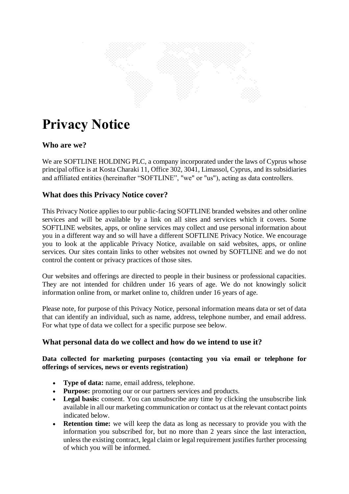

# **Privacy Notice**

# **Who are we?**

We are SOFTLINE HOLDING PLC, a company incorporated under the laws of Cyprus whose principal office is at Kosta Charaki 11, Office 302, 3041, Limassol, Cyprus, and its subsidiaries and affiliated entities (hereinafter "SOFTLINE", "we" or "us"), acting as data controllers.

## **What does this Privacy Notice cover?**

This Privacy Notice applies to our public-facing SOFTLINE branded websites and other online services and will be available by a link on all sites and services which it covers. Some SOFTLINE websites, apps, or online services may collect and use personal information about you in a different way and so will have a different SOFTLINE Privacy Notice. We encourage you to look at the applicable Privacy Notice, available on said websites, apps, or online services. Our sites contain links to other websites not owned by SOFTLINE and we do not control the content or privacy practices of those sites.

Our websites and offerings are directed to people in their business or professional capacities. They are not intended for children under 16 years of age. We do not knowingly solicit information online from, or market online to, children under 16 years of age.

Please note, for purpose of this Privacy Notice, personal information means data or set of data that can identify an individual, such as name, address, telephone number, and email address. For what type of data we collect for a specific purpose see below.

## **What personal data do we collect and how do we intend to use it?**

## **Data collected for marketing purposes (contacting you via email or telephone for offerings of services, news or events registration)**

- **Type of data:** name, email address, telephone.
- **Purpose:** promoting our or our partners services and products.
- **Legal basis:** consent. You can unsubscribe any time by clicking the unsubscribe link available in all our marketing communication or contact us at the relevant contact points indicated below.
- **Retention time:** we will keep the data as long as necessary to provide you with the information you subscribed for, but no more than 2 years since the last interaction, unless the existing contract, legal claim or legal requirement justifies further processing of which you will be informed.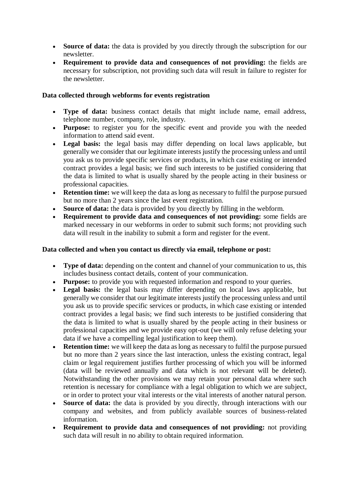- **Source of data:** the data is provided by you directly through the subscription for our newsletter.
- **Requirement to provide data and consequences of not providing:** the fields are necessary for subscription, not providing such data will result in failure to register for the newsletter.

## **Data collected through webforms for events registration**

- **Type of data:** business contact details that might include name, email address, telephone number, company, role, industry.
- **Purpose:** to register you for the specific event and provide you with the needed information to attend said event.
- **Legal basis:** the legal basis may differ depending on local laws applicable, but generally we consider that our legitimate interests justify the processing unless and until you ask us to provide specific services or products, in which case existing or intended contract provides a legal basis; we find such interests to be justified considering that the data is limited to what is usually shared by the people acting in their business or professional capacities.
- **Retention time:** we will keep the data as long as necessary to fulfil the purpose pursued but no more than 2 years since the last event registration.
- **Source of data:** the data is provided by you directly by filling in the webform.
- **Requirement to provide data and consequences of not providing:** some fields are marked necessary in our webforms in order to submit such forms; not providing such data will result in the inability to submit a form and register for the event.

#### **Data collected and when you contact us directly via email, telephone or post:**

- **Type of data:** depending on the content and channel of your communication to us, this includes business contact details, content of your communication.
- **Purpose:** to provide you with requested information and respond to your queries.
- **Legal basis:** the legal basis may differ depending on local laws applicable, but generally we consider that our legitimate interests justify the processing unless and until you ask us to provide specific services or products, in which case existing or intended contract provides a legal basis; we find such interests to be justified considering that the data is limited to what is usually shared by the people acting in their business or professional capacities and we provide easy opt-out (we will only refuse deleting your data if we have a compelling legal justification to keep them).
- **Retention time:** we will keep the data as long as necessary to fulfil the purpose pursued but no more than 2 years since the last interaction, unless the existing contract, legal claim or legal requirement justifies further processing of which you will be informed (data will be reviewed annually and data which is not relevant will be deleted). Notwithstanding the other provisions we may retain your personal data where such retention is necessary for compliance with a legal obligation to which we are subject, or in order to protect your vital interests or the vital interests of another natural person.
- **Source of data:** the data is provided by you directly, through interactions with our company and websites, and from publicly available sources of business-related information.
- **Requirement to provide data and consequences of not providing:** not providing such data will result in no ability to obtain required information.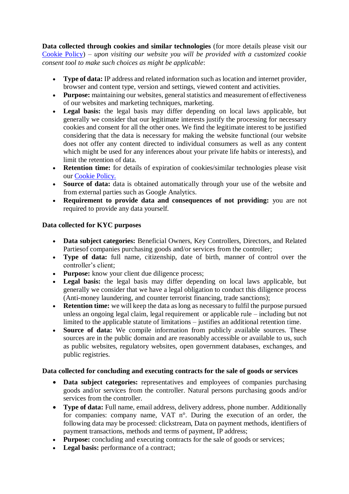**Data collected through cookies and similar technologies** (for more details please visit our [Cookie Policy\)](https://softline.com/cookie-policy) *– upon visiting our website you will be provided with a customized cookie consent tool to make such choices as might be applicable*:

- **Type of data:** IP address and related information such as location and internet provider, browser and content type, version and settings, viewed content and activities.
- **Purpose:** maintaining our websites, general statistics and measurement of effectiveness of our websites and marketing techniques, marketing.
- **Legal basis:** the legal basis may differ depending on local laws applicable, but generally we consider that our legitimate interests justify the processing for necessary cookies and consent for all the other ones. We find the legitimate interest to be justified considering that the data is necessary for making the website functional (our website does not offer any content directed to individual consumers as well as any content which might be used for any inferences about your private life habits or interests), and limit the retention of data.
- **Retention time:** for details of expiration of cookies/similar technologies please visit our [Cookie Policy.](https://softline.com/cookie-policy)
- **Source of data:** data is obtained automatically through your use of the website and from external parties such as Google Analytics.
- **Requirement to provide data and consequences of not providing:** you are not required to provide any data yourself.

## **Data collected for KYC purposes**

- **Data subject categories:** Beneficial Owners, Key Controllers, Directors, and Related Partiesof companies purchasing goods and/or services from the controller;
- **Type of data:** full name, citizenship, date of birth, manner of control over the controller's client;
- **Purpose:** know your client due diligence process;
- **Legal basis:** the legal basis may differ depending on local laws applicable, but generally we consider that we have a legal obligation to conduct this diligence process (Anti-money laundering, and counter terrorist financing, trade sanctions);
- **Retention time:** we will keep the data as long as necessary to fulfil the purpose pursued unless an ongoing legal claim, legal requirement or applicable rule – including but not limited to the applicable statute of limitations – justifies an additional retention time.
- **Source of data:** We compile information from publicly available sources. These sources are in the public domain and are reasonably accessible or available to us, such as public websites, regulatory websites, open government databases, exchanges, and public registries.

## **Data collected for concluding and executing contracts for the sale of goods or services**

- Data subject categories: representatives and employees of companies purchasing goods and/or services from the controller. Natural persons purchasing goods and/or services from the controller.
- **Type of data:** Full name, email address, delivery address, phone number. Additionally for companies: company name, VAT n°. During the execution of an order, the following data may be processed: clickstream, Data on payment methods, identifiers of payment transactions, methods and terms of payment, IP address;
- **Purpose:** concluding and executing contracts for the sale of goods or services;
- **Legal basis:** performance of a contract;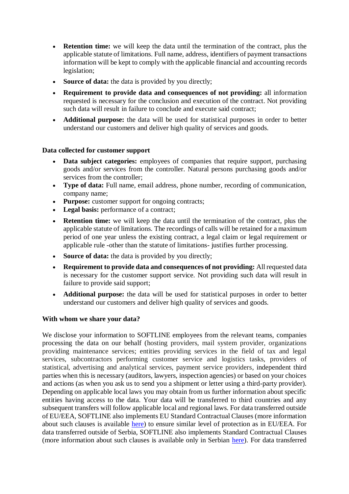- **Retention time:** we will keep the data until the termination of the contract, plus the applicable statute of limitations. Full name, address, identifiers of payment transactions information will be kept to comply with the applicable financial and accounting records legislation;
- **Source of data:** the data is provided by you directly;
- **Requirement to provide data and consequences of not providing:** all information requested is necessary for the conclusion and execution of the contract. Not providing such data will result in failure to conclude and execute said contract;
- **Additional purpose:** the data will be used for statistical purposes in order to better understand our customers and deliver high quality of services and goods.

#### **Data collected for customer support**

- **Data subject categories:** employees of companies that require support, purchasing goods and/or services from the controller. Natural persons purchasing goods and/or services from the controller;
- **Type of data:** Full name, email address, phone number, recording of communication, company name;
- **Purpose:** customer support for ongoing contracts;
- **Legal basis:** performance of a contract;
- **Retention time:** we will keep the data until the termination of the contract, plus the applicable statute of limitations. The recordings of calls will be retained for a maximum period of one year unless the existing contract, a legal claim or legal requirement or applicable rule -other than the statute of limitations- justifies further processing.
- **Source of data:** the data is provided by you directly;
- **Requirement to provide data and consequences of not providing:** Allrequested data is necessary for the customer support service. Not providing such data will result in failure to provide said support;
- **Additional purpose:** the data will be used for statistical purposes in order to better understand our customers and deliver high quality of services and goods.

#### **With whom we share your data?**

We disclose your information to SOFTLINE employees from the relevant teams, companies processing the data on our behalf (hosting providers, mail system provider, organizations providing maintenance services; entities providing services in the field of tax and legal services, subcontractors performing customer service and logistics tasks, providers of statistical, advertising and analytical services, payment service providers, independent third parties when this is necessary (auditors, lawyers, inspection agencies) or based on your choices and actions (as when you ask us to send you a shipment or letter using a third-party provider). Depending on applicable local laws you may obtain from us further information about specific entities having access to the data. Your data will be transferred to third countries and any subsequent transfers will follow applicable local and regional laws. For data transferred outside of EU/EEA, SOFTLINE also implements EU Standard Contractual Clauses (more information about such clauses is available [here\)](https://ec.europa.eu/info/law/law-topic/data-protection/international-dimension-data-protection/standard-contractual-clauses-scc_en) to ensure similar level of protection as in EU/EEA. For data transferred outside of Serbia, SOFTLINE also implements Standard Contractual Clauses (more information about such clauses is available only in Serbian [here\)](https://www.poverenik.rs/images/stories/dokumentacija-nova/podzakonski-akti/Klauzulelat.docx). For data transferred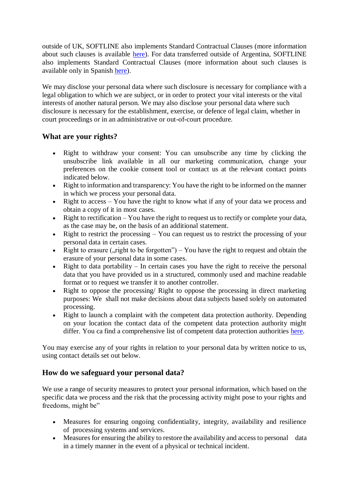outside of UK, SOFTLINE also implements Standard Contractual Clauses (more information about such clauses is available [here\)](https://ico.org.uk/media/for-organisations/documents/2620100/uk-sccs-c-p-202107.docx). For data transferred outside of Argentina, SOFTLINE also implements Standard Contractual Clauses (more information about such clauses is available only in Spanish [here\)](http://servicios.infoleg.gob.ar/infolegInternet/anexos/265000-269999/267922/norma.htm).

We may disclose your personal data where such disclosure is necessary for compliance with a legal obligation to which we are subject, or in order to protect your vital interests or the vital interests of another natural person. We may also disclose your personal data where such disclosure is necessary for the establishment, exercise, or defence of legal claim, whether in court proceedings or in an administrative or out-of-court procedure.

## **What are your rights?**

- Right to withdraw your consent: You can unsubscribe any time by clicking the unsubscribe link available in all our marketing communication, change your preferences on the cookie consent tool or contact us at the relevant contact points indicated below.
- Right to information and transparency: You have the right to be informed on the manner in which we process your personal data.
- Right to access You have the right to know what if any of your data we process and obtain a copy of it in most cases.
- $\bullet$  Right to rectification You have the right to request us to rectify or complete your data, as the case may be, on the basis of an additional statement.
- Right to restrict the processing  $-$  You can request us to restrict the processing of your personal data in certain cases.
- Right to erasure ("right to be forgotten") You have the right to request and obtain the erasure of your personal data in some cases.
- Right to data portability  $-$  In certain cases you have the right to receive the personal data that you have provided us in a structured, commonly used and machine readable format or to request we transfer it to another controller.
- Right to oppose the processing/ Right to oppose the processing in direct marketing purposes: We shall not make decisions about data subjects based solely on automated processing.
- Right to launch a complaint with the competent data protection authority. Depending on your location the contact data of the competent data protection authority might differ. You ca find a comprehensive list of competent data protection authorities [here.](https://www.cnil.fr/en/data-protection-around-the-world)

You may exercise any of your rights in relation to your personal data by written notice to us, using contact details set out below.

## **How do we safeguard your personal data?**

We use a range of security measures to protect your personal information, which based on the specific data we process and the risk that the processing activity might pose to your rights and freedoms, might be"

- Measures for ensuring ongoing confidentiality, integrity, availability and resilience of processing systems and services.
- Measures for ensuring the ability to restore the availability and access to personal data in a timely manner in the event of a physical or technical incident.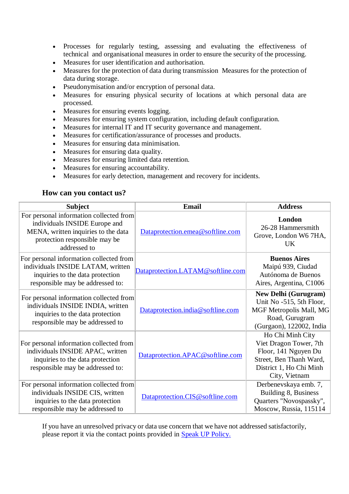- Processes for regularly testing, assessing and evaluating the effectiveness of technical and organisational measures in order to ensure the security of the processing.
- Measures for user identification and authorisation.
- Measures for the protection of data during transmission Measures for the protection of data during storage.
- Pseudonymisation and/or encryption of personal data.
- Measures for ensuring physical security of locations at which personal data are processed.
- Measures for ensuring events logging.
- Measures for ensuring system configuration, including default configuration.
- Measures for internal IT and IT security governance and management.
- Measures for certification/assurance of processes and products.
- Measures for ensuring data minimisation.
- Measures for ensuring data quality.
- Measures for ensuring limited data retention.
- Measures for ensuring accountability.
- Measures for early detection, management and recovery for incidents.

## **How can you contact us?**

| <b>Subject</b>                                                                                                                                                   | <b>Email</b>                      | <b>Address</b>                                                                                                                            |
|------------------------------------------------------------------------------------------------------------------------------------------------------------------|-----------------------------------|-------------------------------------------------------------------------------------------------------------------------------------------|
| For personal information collected from<br>individuals INSIDE Europe and<br>MENA, written inquiries to the data<br>protection responsible may be<br>addressed to | Dataprotection.emea@softline.com  | London<br>26-28 Hammersmith<br>Grove, London W6 7HA,<br><b>UK</b>                                                                         |
| For personal information collected from<br>individuals INSIDE LATAM, written<br>inquiries to the data protection<br>responsible may be addressed to:             | Dataprotection.LATAM@softline.com | <b>Buenos Aires</b><br>Maipú 939, Ciudad<br>Autónoma de Buenos<br>Aires, Argentina, C1006                                                 |
| For personal information collected from<br>individuals INSIDE INDIA, written<br>inquiries to the data protection<br>responsible may be addressed to              | Dataprotection.india@softline.com | <b>New Delhi (Gurugram)</b><br>Unit No -515, 5th Floor,<br>MGF Metropolis Mall, MG<br>Road, Gurugram<br>(Gurgaon), 122002, India          |
| For personal information collected from<br>individuals INSIDE APAC, written<br>inquiries to the data protection<br>responsible may be addressed to:              | Dataprotection.APAC@softline.com  | Ho Chi Minh City<br>Viet Dragon Tower, 7th<br>Floor, 141 Nguyen Du<br>Street, Ben Thanh Ward,<br>District 1, Ho Chi Minh<br>City, Vietnam |
| For personal information collected from<br>individuals INSIDE CIS, written<br>inquiries to the data protection<br>responsible may be addressed to                | Dataprotection.CIS@softline.com   | Derbenevskaya emb. 7,<br>Building 8, Business<br>Quarters "Novospassky",<br>Moscow, Russia, 115114                                        |

If you have an unresolved privacy or data use concern that we have not addressed satisfactorily, please report it via the contact points provided in [Speak UP Policy.](https://softline.com/about/business-conduct-guidelines/speak-up-policy)